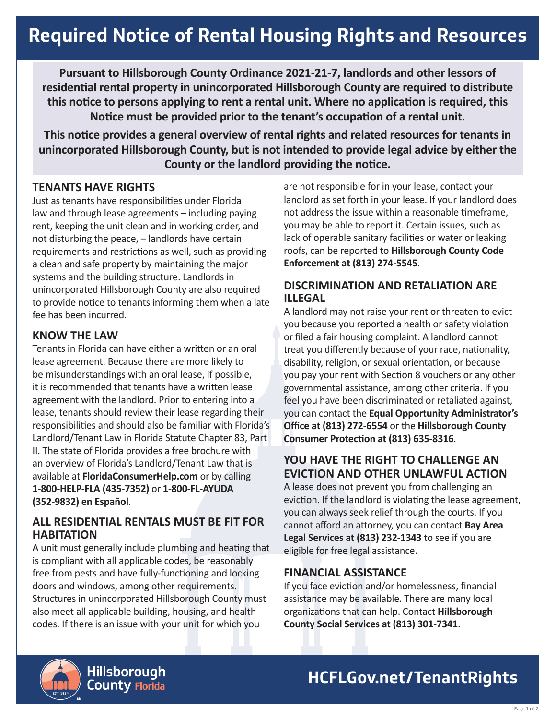# **Required Notice of Rental Housing Rights and Resources**

**Pursuant to Hillsborough County Ordinance 2021-21-7, landlords and other lessors of residential rental property in unincorporated Hillsborough County are required to distribute this notice to persons applying to rent a rental unit. Where no application is required, this Notice must be provided prior to the tenant's occupation of a rental unit.** 

**This notice provides a general overview of rental rights and related resources for tenants in unincorporated Hillsborough County, but is not intended to provide legal advice by either the County or the landlord providing the notice.** 

### **TENANTS HAVE RIGHTS**

Just as tenants have responsibilities under Florida law and through lease agreements – including paying rent, keeping the unit clean and in working order, and not disturbing the peace, – landlords have certain requirements and restrictions as well, such as providing a clean and safe property by maintaining the major systems and the building structure. Landlords in unincorporated Hillsborough County are also required to provide notice to tenants informing them when a late fee has been incurred.

### **KNOW THE LAW**

Tenants in Florida can have either a written or an oral lease agreement. Because there are more likely to be misunderstandings with an oral lease, if possible, it is recommended that tenants have a written lease agreement with the landlord. Prior to entering into a lease, tenants should review their lease regarding their responsibilities and should also be familiar with Florida's Landlord/Tenant Law in Florida Statute Chapter 83, Part II. The state of Florida provides a free brochure with an overview of Florida's Landlord/Tenant Law that is available at **FloridaConsumerHelp.com** or by calling **1-800-HELP-FLA (435-7352)** or **1-800-FL-AYUDA (352-9832) en Español**.

### **ALL RESIDENTIAL RENTALS MUST BE FIT FOR HABITATION**

A unit must generally include plumbing and heating that is compliant with all applicable codes, be reasonably free from pests and have fully-functioning and locking doors and windows, among other requirements. Structures in unincorporated Hillsborough County must also meet all applicable building, housing, and health codes. If there is an issue with your unit for which you

are not responsible for in your lease, contact your landlord as set forth in your lease. If your landlord does not address the issue within a reasonable timeframe, you may be able to report it. Certain issues, such as lack of operable sanitary facilities or water or leaking roofs, can be reported to **Hillsborough County Code Enforcement at (813) 274-5545**.

### **DISCRIMINATION AND RETALIATION ARE ILLEGAL**

A landlord may not raise your rent or threaten to evict you because you reported a health or safety violation or filed a fair housing complaint. A landlord cannot treat you differently because of your race, nationality, disability, religion, or sexual orientation, or because you pay your rent with Section 8 vouchers or any other governmental assistance, among other criteria. If you feel you have been discriminated or retaliated against, you can contact the **Equal Opportunity Administrator's Office at (813) 272-6554** or the **Hillsborough County Consumer Protection at (813) 635-8316**.

### **YOU HAVE THE RIGHT TO CHALLENGE AN EVICTION AND OTHER UNLAWFUL ACTION**

A lease does not prevent you from challenging an eviction. If the landlord is violating the lease agreement, you can always seek relief through the courts. If you cannot afford an attorney, you can contact **Bay Area Legal Services at (813) 232-1343** to see if you are eligible for free legal assistance.

### **FINANCIAL ASSISTANCE**

If you face eviction and/or homelessness, financial assistance may be available. There are many local organizations that can help. Contact **Hillsborough County Social Services at (813) 301-7341**.



### **HCFLGov.net/TenantRights**